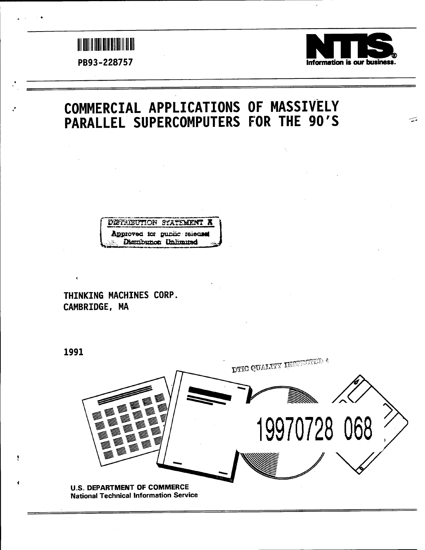



 $\widetilde{\phantom{a}}$ 

# **COMMERCIAL APPLICATIONS OF MASSIVELY PARALLEL SUPERCOMPUTERS FOR THE 90'S**



**THINKING MACHINES CORP. CAMBRIDGE, MA**

**1991**

ş.



National Technical Information Service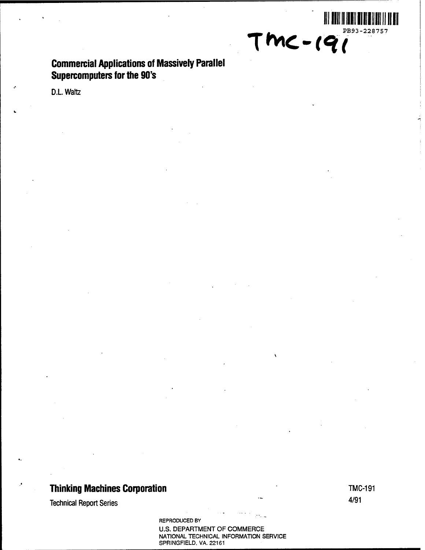**Commercial Applications of Massively Parallel Supercomputers for the 90's**

D.L. Waltz

# **Thinking Machines Corporation TMC-191**

Technical Report Series 4/91

REPRODUCED BY U.S. DEPARTMENT OF COMMERCE NATIONAL TECHNICAL INFORMATION SERVICE SPRINGFIELD. VA. 22161

**II**

TMC-19<sup>PB93-228757</sup>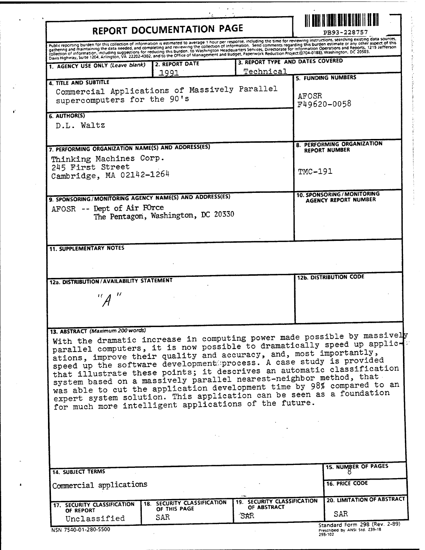| REPORT DOCUMENTATION PAGE                                                                                                                                                                                                                                                                                                                                                                                                                                                                                                                                                                                                                                                                       |                                                    |                                                      | PB93-228757 |                                                                 |
|-------------------------------------------------------------------------------------------------------------------------------------------------------------------------------------------------------------------------------------------------------------------------------------------------------------------------------------------------------------------------------------------------------------------------------------------------------------------------------------------------------------------------------------------------------------------------------------------------------------------------------------------------------------------------------------------------|----------------------------------------------------|------------------------------------------------------|-------------|-----------------------------------------------------------------|
| Public reporting burden for this collection of information is estimated to average 1 hour per response, including the time for reviewing instructions, searching existing data sources.<br>רשטות ופסט השישי והיה של המוסד של המשפח של המוסד של המוסד והיה וכי ושל המוסד המוסד ומשפח המוסד והמוסד של המוסד<br>- gathering and maintaining the data needed, and completing and reviewing the collection of information. Send                                                                                                                                                                                                                                                                      |                                                    |                                                      |             |                                                                 |
| 1. AGENCY USE ONLY (Leave blank)                                                                                                                                                                                                                                                                                                                                                                                                                                                                                                                                                                                                                                                                | 2. REPORT DATE<br>1991                             | 3. REPORT TYPE AND DATES COVERED<br><u>Technical</u> |             |                                                                 |
| 4. TITLE AND SUBTITLE<br>Commercial Applications of Massively Parallel<br>supercomputers for the 90's                                                                                                                                                                                                                                                                                                                                                                                                                                                                                                                                                                                           |                                                    |                                                      | AFOSR       | 5. FUNDING NUMBERS<br>F49620-0058                               |
| 6. AUTHOR(S)<br>D.L. Waltz                                                                                                                                                                                                                                                                                                                                                                                                                                                                                                                                                                                                                                                                      |                                                    |                                                      |             |                                                                 |
| 7. PERFORMING ORGANIZATION NAME(S) AND ADDRESS(ES)<br>Thinking Machines Corp.<br>245 First Street                                                                                                                                                                                                                                                                                                                                                                                                                                                                                                                                                                                               |                                                    |                                                      |             | 8. PERFORMING ORGANIZATION<br><b>REPORT NUMBER</b>              |
| Cambridge, MA 02142-1264                                                                                                                                                                                                                                                                                                                                                                                                                                                                                                                                                                                                                                                                        |                                                    |                                                      | $TMC-191$   |                                                                 |
| 9. SPONSORING/MONITORING AGENCY NAME(S) AND ADDRESS(ES)<br>AFOSR -- Dept of Air FOrce                                                                                                                                                                                                                                                                                                                                                                                                                                                                                                                                                                                                           | The Pentagon, Washington, DC 20330                 |                                                      |             | 10. SPONSORING/MONITORING<br>AGENCY REPORT NUMBER               |
| <b>11. SUPPLEMENTARY NOTES</b>                                                                                                                                                                                                                                                                                                                                                                                                                                                                                                                                                                                                                                                                  |                                                    |                                                      |             |                                                                 |
|                                                                                                                                                                                                                                                                                                                                                                                                                                                                                                                                                                                                                                                                                                 |                                                    |                                                      |             | <b>12b. DISTRIBUTION CODE</b>                                   |
| 12a. DISTRIBUTION / AVAILABILITY STATEMENT                                                                                                                                                                                                                                                                                                                                                                                                                                                                                                                                                                                                                                                      |                                                    |                                                      |             |                                                                 |
| 13. ABSTRACT (Maximum 200 words)<br>With the dramatic increase in computing power made possible by massively<br>parallel computers, it is now possible to dramatically speed up applic-<br>ations, improve their quality and accuracy, and, most importantly,<br>speed up the software development process. A case study is provided<br>that illustrate these points; it descrives an automatic classification<br>system based on a massively parallel nearest-neighbor method, that<br>was able to cut the application development time by 98% compared to an<br>expert system solution. This application can be seen as a foundation<br>for much more intelligent applications of the future. |                                                    |                                                      |             |                                                                 |
|                                                                                                                                                                                                                                                                                                                                                                                                                                                                                                                                                                                                                                                                                                 |                                                    |                                                      |             |                                                                 |
| <b>14. SUBJECT TERMS</b>                                                                                                                                                                                                                                                                                                                                                                                                                                                                                                                                                                                                                                                                        |                                                    |                                                      |             | <b>15. NUMBER OF PAGES</b>                                      |
| Commercial applications                                                                                                                                                                                                                                                                                                                                                                                                                                                                                                                                                                                                                                                                         |                                                    |                                                      |             | <b>16. PRICE CODE</b>                                           |
| 17. SECURITY CLASSIFICATION<br>OF REPORT<br>Unclassified                                                                                                                                                                                                                                                                                                                                                                                                                                                                                                                                                                                                                                        | 18. SECURITY CLASSIFICATION<br>OF THIS PAGE<br>SAR | 19. SECURITY CLASSIFICATION<br>OF ABSTRACT<br>SAR    |             | 20. LIMITATION OF ABSTRACT<br>SAR.                              |
| NSN 7540-01-280-5500                                                                                                                                                                                                                                                                                                                                                                                                                                                                                                                                                                                                                                                                            |                                                    |                                                      |             | Standard Form 298 (Rev. 2-89)<br>Prescribed by ANSI Std. 239-18 |

 $\sigma = \frac{1}{2} \left( \frac{1}{2} \right) \left( \frac{1}{2} \right) \left( \frac{1}{2} \right) \left( \frac{1}{2} \right)$ 

| NSN 7540-01-280-5500 |  |  |  |  |
|----------------------|--|--|--|--|

å

 $\bar{\mathcal{A}}$  $\bullet$ 

¥

**Prescribed by ANSI Std. 239-18 298-102**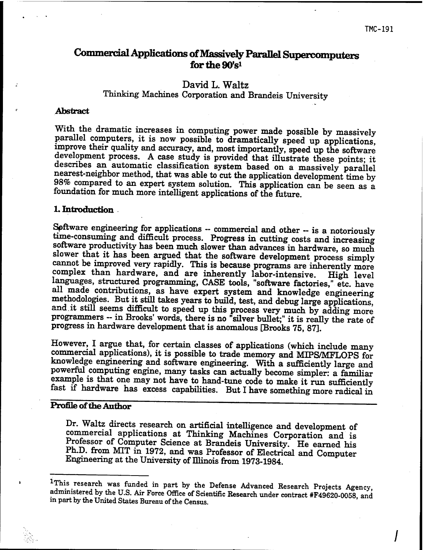# **CommercialApplications ofMassively Parallel Supercomputers** for the 90's<sup>1</sup>

## **David L. Waltz**

# Thinking Machines Corporation and Brandeis University

#### **Abstract**

With the dramatic increases in computing power made possible by massively parallel computers, it is now possible to dramatically speed up applications, improve their quality and accuracy, and, most importantly, speed up the software development process. A case study is provided that illustrate these points; it describes an automatic classification system based on a massively parallel nearest-neighbor method, that was able to cut the application development time by 98% compared to an expert system solution. This application can be seen as a foundation for much more intelligent applications of the future.

#### **1. Introduction** •

Software engineering for applications - commercial and other - is <sup>a</sup> notoriously time-consuming and difficult process. Progress in cutting costs and increasing software productivity has been much slower than advances in hardware, so much slower that it has been argued that the software development process simply cannot be improved very rapidly. This is because programs are inherently more complex than hardware, and are inherently labor-intensive. High level languages, structured programming, CASE tools, "software factories," etc. have all made contributions, as have expert system and knowledge engineering methodologies. But it still takes years to build, test, and debug large applications, and.it still seems difficult to speed up this process very much by adding more programmers - in Brooks' words, there is no "silver bullet;" it is really the rate of progress in hardware development that is anomalous [Brooks 75, 87].

However, I argue that, for certain classes of applications (which include many commercial applications), it is possible to trade memory and MIPS/MFLOPS for knowledge engineering and software engineering. With a sufficiently large and powerful computing engine, many tasks can actually become simpler: a familiar example is that one may not have to hand-tune code to make it run sufficiently fast if hardware has excess capabilities. But I have something more radical in

## Profile of the Author

Dr. Waltz directs research on artificial intelligence and development of commercial applications at Thinking Machines Corporation and is Professor of Computer Science at Brandeis University. He earned his Ph.D. from MIT in 1972, and was Professor of Electrical and Computer Engineering at the University of Illinois from 1973-1984.

<sup>&</sup>lt;sup>1</sup>This research was funded in part by the Defense Advanced Research Projects Agency administered by the U.S. Air Force Office of Scientific Research under contract #F49620-0058 and in part by the United States Bureau of the Census.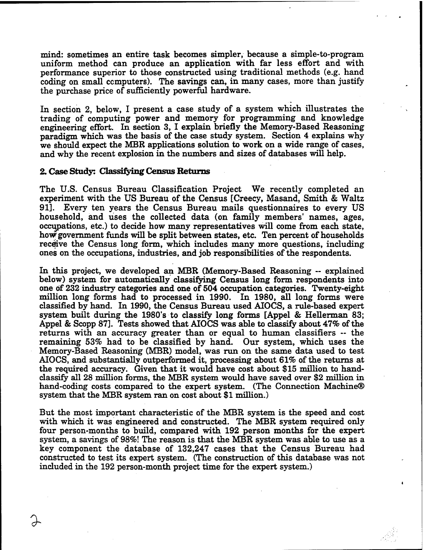mind: sometimes an entire task becomes simpler, because a simple-to-program uniform method can produce an application with far less effort and with performance superior to those constructed using traditional methods (e.g. hand coding on small computers). The savings can, in many cases, more than justify the purchase price of sufficiently powerful hardware.

In section 2, below, I present a case study of a system which illustrates the trading of computing power and memory for programming and knowledge engineering effort. In section 3, I explain briefly the Memory-Based Reasoning paradigm which was the basis of the case study system. Section 4 explains why we should expect the MBR applications solution to work on a wide range of cases, and why the recent explosion in the numbers and sizes of databases will help.

#### **2. Case Study: Classifying Census Returns**

*%*

The U.S. Census Bureau Classification Project We recently completed an experiment with the US Bureau of the Census [Creecy, Masand, Smith & Waltz 91]. Every ten years the Census Bureau mails questionnaires to every US household, and uses the collected data (on family members' names, ages, occupations, etc.) to decide how many representatives will come from each state, how government funds will be split between states, etc. Ten percent of households receive the Census long form, which includes many more questions, including ones on the occupations, industries, and job responsibilities of the respondents.

In this project, we developed an MBR (Memory-Based Reasoning — explained below) system for automatically classifying Census long form respondents into one of 232 industry categories and one of 504 occupation categories. Twenty-eight million long forms had to processed in 1990. In 1980, all long forms were classified by hand. In 1990, the Census Bureau used AIOCS, a rule-based expert system built during the 1980's to classify long forms [Appel & Hellerman 83; Appel & Scopp 87]. Tests showed that AIOCS was able to classify about 47% of the returns with an accuracy greater than or equal to human classifiers -- the remaining 53% had to be classified by hand. Our system, which uses the Memory-Based Reasoning (MBR) model, was run on the same data used to test AIOCS, and substantially outperformed it, processing about 61% of the returns at the required accuracy. Given that it would have cost about \$15 million to handclassify all 28 million forms, the MBR system would have saved over \$2 million in hand-coding costs compared to the expert system. (The Connection Machine® system that the MBR system ran on cost about \$1 million.)

But the most important characteristic of the MBR system is the speed and cost with which it was engineered and constructed. The MBR system required only four person-months to build, compared with 192 person months for the expert system, a savings of 98%! The reason is that the MBR system was able to use as a key component the database of 132,247 cases that the Census Bureau had constructed to test its expert system. (The construction of this database was not included in the 192 person-month project time for the expert system.)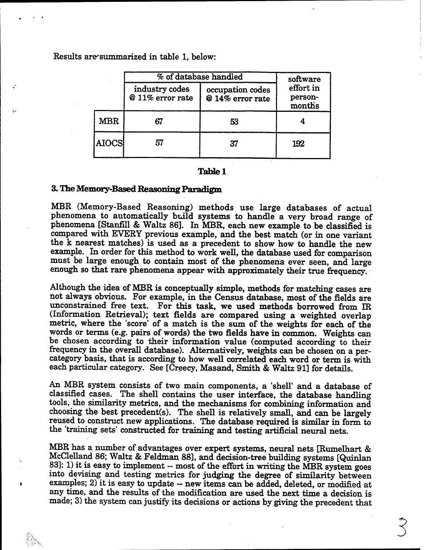Results are'summarized in table 1, below:

|              | % of database handled              | software                             |                                |  |
|--------------|------------------------------------|--------------------------------------|--------------------------------|--|
|              | industry codes<br>@ 11% error rate | occupation codes<br>@ 14% error rate | effort in<br>person-<br>months |  |
| <b>MBR</b>   | 67                                 | 53                                   |                                |  |
| <b>AIOCS</b> | 57                                 | 37                                   | 192                            |  |

#### **Table 1**

#### **3. The Memory-Based Reasoning Paradigm**

 $\bullet$ 

MBR (Memory-Based Reasoning) methods use large databases of actual phenomena to automatically build systems to handle a very broad range of phenomena [Stanfill & Waltz 86]. In MBR, each new example to be classified is compared with EVERY previous example, and the best match (or in one variant the k nearest matches) is used as a precedent to show how to handle the new example. In order for this method to work well, the database used for comparison must be large enough to contain most of the phenomena ever seen, and large enough so that rare phenomena appear with approximately their true frequency.

Although the idea of MBR is conceptually simple, methods for matching cases are not always obvious. For example, in the Census database, most of the fields are unconstrained free text. For this task, we used methods borrowed from IR (Information Retrieval); text fields are compared using a weighted overlap metric, where the 'score' of a match is the sum of the weights for each of the words or terms (e.g. pairs of words) the two fields have in common. Weights can be chosen according to their information value (computed according to their frequency in the overall database). Alternatively, weights can be chosen on a percategory basis, that is according to how well correlated each word or term is with each particular category. See [Creecy, Masand, Smith & Waltz 91] for details.

An MBR system consists of two main components, a 'shell' and a database of classified cases. The shell contains the user interface, the database handling tools, the similarity metrics, and the mechanisms for combining information and choosing the best precedent(s). The shell is relatively small, and can be largely reused to construct new applications. The database required is similar in form to the 'training sets' constructed for training and testing artificial neural nets.

MBR has a number of advantages over expert systems, neural nets [Rumelhart & McClelland 86; Waltz & Feldman 88], and decision-tree building systems [Quinlan 83]: 1) it is easy to implement -- most of the effort in writing the MBR system goes into devising and testing metrics for judging the degree of similarity between examples; 2) it is easy to update -- new items can be added, deleted, or modified at any time, and the results of the modification are used the next time a decision is made; 3) the system can justify its decisions or actions by giving the precedent that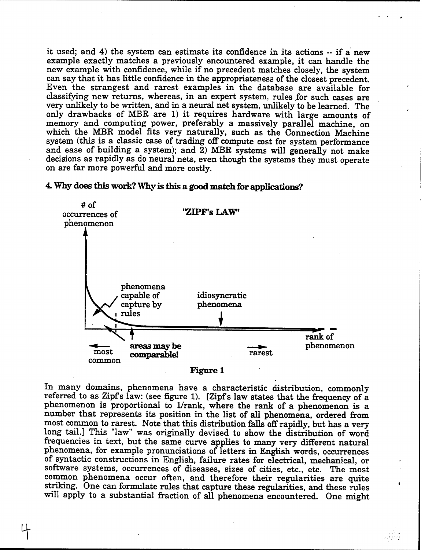it used; and 4) the system can estimate its confidence in its actions ~ if a new example exactly matches a previously encountered example, it can handle the new example with confidence, while if no precedent matches closely, the system can say that it has little confidence in the appropriateness of the closest precedent. Even the strangest and rarest examples in the database are available for classifying new returns, whereas, in an expert system, rules for such cases are very unlikely to be written, and in a neural net system, unlikely to be learned. The only drawbacks of MBR are 1) it requires hardware with large amounts of memory and computing power, preferably a massively parallel machine, on which the MBR model fits very naturally, such as the Connection Machine system (this is a classic case of trading off compute cost for system performance and ease of building a system); and 2) MBR systems will generally not make decisions as rapidly as do neural nets, even though the systems they must operate on are far more powerful and more costly.



#### **4. Why does this work? Why is this a good matchfor applications?**

**Figure 1**

In many domains, phenomena have a characteristic distribution, commonly referred to as Zipfs law: (see figure 1). [Zipfs law states that the frequency of a phenomenon is proportional to 1/rank, where the rank of a phenomenon is a number that represents its position in the list of all phenomena, ordered from most common to rarest. Note that this distribution falls offrapidly, but has a very long tail.] This "law" was originally devised to show the distribution of word frequencies in text, but the same curve applies to many very different natural phenomena, for example pronunciations of letters in English words, occurrences of syntactic constructions in English, failure rates for electrical, mechanical, or software systems, occurrences of diseases, sizes of cities, etc., etc. The most common phenomena occur often, and therefore their regularities are quite striking. One can formulate rules that capture these regularities, and these rules will apply to a substantial fraction of all phenomena encountered. One might

 $\bullet$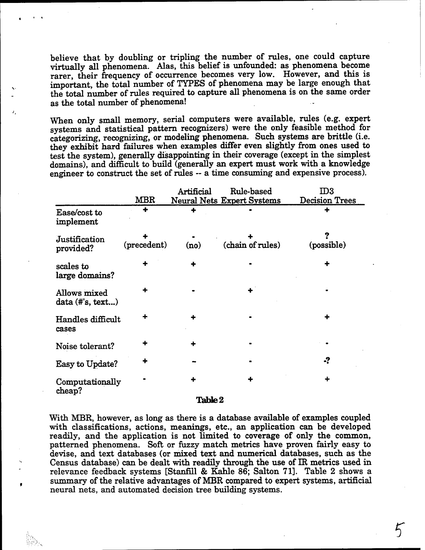believe that by doubling or tripling the number of rules, one could capture virtually all phenomena. Alas, this belief is unfounded: as phenomena become rarer, their frequency of occurrence becomes very low. However, and this is important, the total number of TYPES of phenomena may be large enough that the total number of rules required to capture all phenomena is on the same order as the total number of phenomena!

When only small memory, serial computers were available, rules (e.g. expert systems and statistical pattern recognizers) were the only feasible method for categorizing, recognizing, or modeling phenomena. Such systems are brittle (i.e. they exhibit hard failures when examples differ even slightly from ones used to test the system), generally disappointing in their coverage (except in the simplest domains), and difficult to build (generally an expert must work with a knowledge engineer to construct the set of rules - <sup>a</sup> time consuming and expensive process).

|                                    |             | Artificial | Rule-based                        | ${\rm I\!D}3$  |
|------------------------------------|-------------|------------|-----------------------------------|----------------|
|                                    | <b>MBR</b>  |            | <b>Neural Nets Expert Systems</b> | Decision Trees |
| Ease/cost to<br>implement          |             |            |                                   |                |
| Justification<br>provided?         | (precedent) | (no)       | (chain of rules)                  | (possible)     |
| scales to<br>large domains?        |             |            |                                   |                |
| Allows mixed<br>$data$ (#'s, text) |             |            |                                   |                |
| Handles difficult<br>cases         |             |            |                                   |                |
| Noise tolerant?                    |             |            |                                   |                |
| Easy to Update?                    |             |            |                                   | -?             |
| Computationally<br>cheap?          |             |            |                                   |                |

#### **Table 2**

With MBR, however, as long as there is a database available of examples coupled with classifications, actions, meanings, etc., an application can be developed readily, and the application is not limited to coverage of only the common, patterned phenomena. Soft or fuzzy match metrics have proven fairly easy to devise, and text databases (or mixed text and numerical databases, such as the Census database) can be dealt with readily through the use of IR metrics used in relevance feedback systems [Stanfill & Kahle 86; Salton 71]. Table 2 shows a summary of the relative advantages of MBR compared to expert systems, artificial neural nets, and automated decision tree building systems.

٠

**5"**